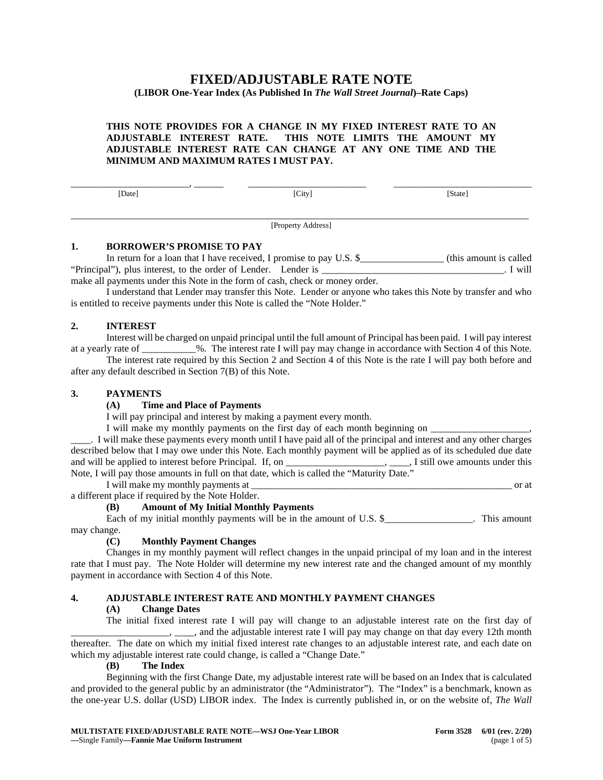# **FIXED/ADJUSTABLE RATE NOTE**

# **(LIBOR One-Year Index (As Published In** *The Wall Street Journal***)–Rate Caps)**

# **THIS NOTE PROVIDES FOR A CHANGE IN MY FIXED INTEREST RATE TO AN ADJUSTABLE INTEREST RATE. THIS NOTE LIMITS THE AMOUNT MY ADJUSTABLE INTEREST RATE CAN CHANGE AT ANY ONE TIME AND THE MINIMUM AND MAXIMUM RATES I MUST PAY.**

 $\begin{array}{c}\n\hline\n\text{[Date]}\n\end{array}$  ,  $\begin{array}{c}\n\hline\n\text{[City]}\n\end{array}$   $\begin{array}{c}\n\hline\n\text{[State]}\n\end{array}$ 

\_\_\_\_\_\_\_\_\_\_\_\_\_\_\_\_\_\_\_\_\_\_\_\_\_\_\_\_\_\_\_\_\_\_\_\_\_\_\_\_\_\_\_\_\_\_\_\_\_\_\_\_\_\_\_\_\_\_\_\_\_\_\_\_\_\_\_\_\_\_\_\_\_\_\_\_\_\_\_\_\_\_\_\_\_\_\_\_\_\_\_\_\_ [Property Address]

#### **1. BORROWER'S PROMISE TO PAY**

In return for a loan that I have received, I promise to pay U.S. \$\_\_\_\_\_\_\_\_\_\_\_\_\_\_\_\_\_\_\_ (this amount is called "Principal"), plus interest, to the order of Lender. Lender is \_\_\_\_\_\_\_\_\_\_\_\_\_\_\_\_\_\_\_\_\_\_\_\_\_\_\_\_\_\_\_\_\_\_\_\_\_. I will make all payments under this Note in the form of cash, check or money order.

I understand that Lender may transfer this Note. Lender or anyone who takes this Note by transfer and who is entitled to receive payments under this Note is called the "Note Holder."

# **2. INTEREST**

Interest will be charged on unpaid principal until the full amount of Principal has been paid. I will pay interest at a yearly rate of \_\_\_\_\_\_\_\_\_\_\_%. The interest rate I will pay may change in accordance with Section 4 of this Note.

The interest rate required by this Section 2 and Section 4 of this Note is the rate I will pay both before and after any default described in Section 7(B) of this Note.

#### **3. PAYMENTS**

# **(A) Time and Place of Payments**

I will pay principal and interest by making a payment every month.

I will make my monthly payments on the first day of each month beginning on  $\Box$ 

\_\_\_\_. I will make these payments every month until I have paid all of the principal and interest and any other charges described below that I may owe under this Note. Each monthly payment will be applied as of its scheduled due date and will be applied to interest before Principal. If, on \_\_\_\_\_\_\_\_\_\_\_\_\_\_\_\_\_\_\_\_\_, \_\_\_\_, I still owe amounts under this Note, I will pay those amounts in full on that date, which is called the "Maturity Date."

I will make my monthly payments at \_\_\_\_\_\_\_\_\_\_\_\_\_\_\_\_\_\_\_\_\_\_\_\_\_\_\_\_\_\_\_\_\_\_\_\_\_\_\_\_\_\_\_\_\_\_\_\_\_\_\_\_\_ or at

a different place if required by the Note Holder.

# **(B) Amount of My Initial Monthly Payments**

Each of my initial monthly payments will be in the amount of U.S. \$\_\_\_\_\_\_\_\_\_\_\_\_\_\_\_. This amount may change.

# **(C) Monthly Payment Changes**

Changes in my monthly payment will reflect changes in the unpaid principal of my loan and in the interest rate that I must pay. The Note Holder will determine my new interest rate and the changed amount of my monthly payment in accordance with Section 4 of this Note.

# **4. ADJUSTABLE INTEREST RATE AND MONTHLY PAYMENT CHANGES**

#### **(A) Change Dates**

The initial fixed interest rate I will pay will change to an adjustable interest rate on the first day of \_\_\_\_\_\_\_\_\_, \_\_\_\_\_, and the adjustable interest rate I will pay may change on that day every 12th month thereafter. The date on which my initial fixed interest rate changes to an adjustable interest rate, and each date on which my adjustable interest rate could change, is called a "Change Date."

#### **(B) The Index**

Beginning with the first Change Date, my adjustable interest rate will be based on an Index that is calculated and provided to the general public by an administrator (the "Administrator"). The "Index" is a benchmark, known as the one-year U.S. dollar (USD) LIBOR index. The Index is currently published in, or on the website of, *The Wall*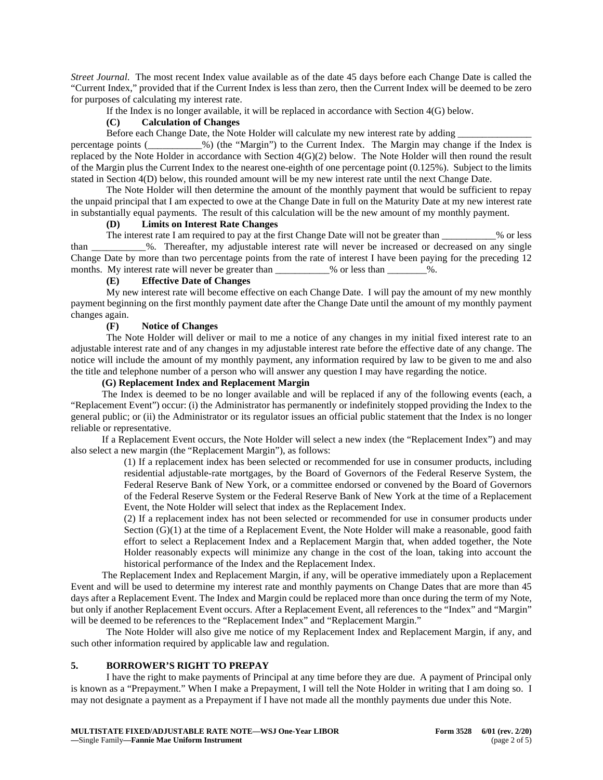*Street Journal*. The most recent Index value available as of the date 45 days before each Change Date is called the "Current Index," provided that if the Current Index is less than zero, then the Current Index will be deemed to be zero for purposes of calculating my interest rate.

If the Index is no longer available, it will be replaced in accordance with Section 4(G) below.

# **(C) Calculation of Changes**

Before each Change Date, the Note Holder will calculate my new interest rate by adding

percentage points (\_\_\_\_\_\_\_\_\_\_\_%) (the "Margin") to the Current Index. The Margin may change if the Index is replaced by the Note Holder in accordance with Section 4(G)(2) below. The Note Holder will then round the result of the Margin plus the Current Index to the nearest one-eighth of one percentage point (0.125%). Subject to the limits stated in Section 4(D) below, this rounded amount will be my new interest rate until the next Change Date.

The Note Holder will then determine the amount of the monthly payment that would be sufficient to repay the unpaid principal that I am expected to owe at the Change Date in full on the Maturity Date at my new interest rate in substantially equal payments. The result of this calculation will be the new amount of my monthly payment.

# **(D) Limits on Interest Rate Changes**

The interest rate I am required to pay at the first Change Date will not be greater than  $\%$  or less than \_\_\_\_\_\_\_\_\_\_\_%. Thereafter, my adjustable interest rate will never be increased or decreased on any single Change Date by more than two percentage points from the rate of interest I have been paying for the preceding 12 months. My interest rate will never be greater than  $\%$  or less than  $\%$ .

# **(E) Effective Date of Changes**

My new interest rate will become effective on each Change Date. I will pay the amount of my new monthly payment beginning on the first monthly payment date after the Change Date until the amount of my monthly payment changes again.<br> $(F)$ 

# **(F) Notice of Changes**

The Note Holder will deliver or mail to me a notice of any changes in my initial fixed interest rate to an adjustable interest rate and of any changes in my adjustable interest rate before the effective date of any change. The notice will include the amount of my monthly payment, any information required by law to be given to me and also the title and telephone number of a person who will answer any question I may have regarding the notice.

#### **(G) Replacement Index and Replacement Margin**

The Index is deemed to be no longer available and will be replaced if any of the following events (each, a "Replacement Event") occur: (i) the Administrator has permanently or indefinitely stopped providing the Index to the general public; or (ii) the Administrator or its regulator issues an official public statement that the Index is no longer reliable or representative.

If a Replacement Event occurs, the Note Holder will select a new index (the "Replacement Index") and may also select a new margin (the "Replacement Margin"), as follows:

> (1) If a replacement index has been selected or recommended for use in consumer products, including residential adjustable-rate mortgages, by the Board of Governors of the Federal Reserve System, the Federal Reserve Bank of New York, or a committee endorsed or convened by the Board of Governors of the Federal Reserve System or the Federal Reserve Bank of New York at the time of a Replacement Event, the Note Holder will select that index as the Replacement Index.

> (2) If a replacement index has not been selected or recommended for use in consumer products under Section (G)(1) at the time of a Replacement Event, the Note Holder will make a reasonable, good faith effort to select a Replacement Index and a Replacement Margin that, when added together, the Note Holder reasonably expects will minimize any change in the cost of the loan, taking into account the historical performance of the Index and the Replacement Index.

The Replacement Index and Replacement Margin, if any, will be operative immediately upon a Replacement Event and will be used to determine my interest rate and monthly payments on Change Dates that are more than 45 days after a Replacement Event. The Index and Margin could be replaced more than once during the term of my Note, but only if another Replacement Event occurs. After a Replacement Event, all references to the "Index" and "Margin" will be deemed to be references to the "Replacement Index" and "Replacement Margin."

The Note Holder will also give me notice of my Replacement Index and Replacement Margin, if any, and such other information required by applicable law and regulation.

# **5. BORROWER'S RIGHT TO PREPAY**

I have the right to make payments of Principal at any time before they are due. A payment of Principal only is known as a "Prepayment." When I make a Prepayment, I will tell the Note Holder in writing that I am doing so. I may not designate a payment as a Prepayment if I have not made all the monthly payments due under this Note.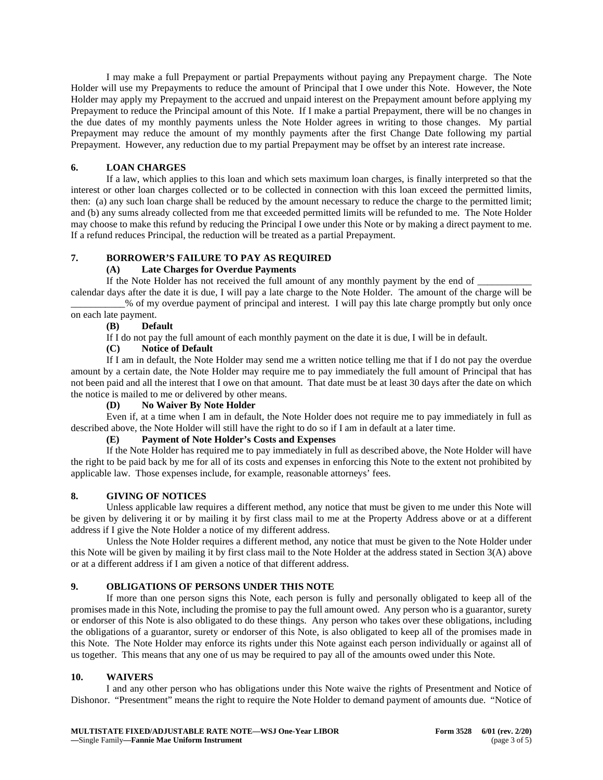I may make a full Prepayment or partial Prepayments without paying any Prepayment charge. The Note Holder will use my Prepayments to reduce the amount of Principal that I owe under this Note. However, the Note Holder may apply my Prepayment to the accrued and unpaid interest on the Prepayment amount before applying my Prepayment to reduce the Principal amount of this Note. If I make a partial Prepayment, there will be no changes in the due dates of my monthly payments unless the Note Holder agrees in writing to those changes. My partial Prepayment may reduce the amount of my monthly payments after the first Change Date following my partial Prepayment. However, any reduction due to my partial Prepayment may be offset by an interest rate increase.

## **6. LOAN CHARGES**

If a law, which applies to this loan and which sets maximum loan charges, is finally interpreted so that the interest or other loan charges collected or to be collected in connection with this loan exceed the permitted limits, then: (a) any such loan charge shall be reduced by the amount necessary to reduce the charge to the permitted limit; and (b) any sums already collected from me that exceeded permitted limits will be refunded to me. The Note Holder may choose to make this refund by reducing the Principal I owe under this Note or by making a direct payment to me. If a refund reduces Principal, the reduction will be treated as a partial Prepayment.

#### **7. BORROWER'S FAILURE TO PAY AS REQUIRED**

#### **(A) Late Charges for Overdue Payments**

If the Note Holder has not received the full amount of any monthly payment by the end of \_

calendar days after the date it is due, I will pay a late charge to the Note Holder. The amount of the charge will be \_\_\_\_\_\_\_\_\_\_\_% of my overdue payment of principal and interest. I will pay this late charge promptly but only once

#### on each late payment.<br>(B) Defa **(B) Default**

If I do not pay the full amount of each monthly payment on the date it is due, I will be in default.

#### **(C) Notice of Default**

If I am in default, the Note Holder may send me a written notice telling me that if I do not pay the overdue amount by a certain date, the Note Holder may require me to pay immediately the full amount of Principal that has not been paid and all the interest that I owe on that amount. That date must be at least 30 days after the date on which the notice is mailed to me or delivered by other means.

#### **(D) No Waiver By Note Holder**

Even if, at a time when I am in default, the Note Holder does not require me to pay immediately in full as described above, the Note Holder will still have the right to do so if I am in default at a later time.

## **(E) Payment of Note Holder's Costs and Expenses**

If the Note Holder has required me to pay immediately in full as described above, the Note Holder will have the right to be paid back by me for all of its costs and expenses in enforcing this Note to the extent not prohibited by applicable law. Those expenses include, for example, reasonable attorneys' fees.

# **8. GIVING OF NOTICES**

Unless applicable law requires a different method, any notice that must be given to me under this Note will be given by delivering it or by mailing it by first class mail to me at the Property Address above or at a different address if I give the Note Holder a notice of my different address.

Unless the Note Holder requires a different method, any notice that must be given to the Note Holder under this Note will be given by mailing it by first class mail to the Note Holder at the address stated in Section 3(A) above or at a different address if I am given a notice of that different address.

# **9. OBLIGATIONS OF PERSONS UNDER THIS NOTE**

If more than one person signs this Note, each person is fully and personally obligated to keep all of the promises made in this Note, including the promise to pay the full amount owed. Any person who is a guarantor, surety or endorser of this Note is also obligated to do these things. Any person who takes over these obligations, including the obligations of a guarantor, surety or endorser of this Note, is also obligated to keep all of the promises made in this Note. The Note Holder may enforce its rights under this Note against each person individually or against all of us together. This means that any one of us may be required to pay all of the amounts owed under this Note.

#### **10. WAIVERS**

I and any other person who has obligations under this Note waive the rights of Presentment and Notice of Dishonor. "Presentment" means the right to require the Note Holder to demand payment of amounts due. "Notice of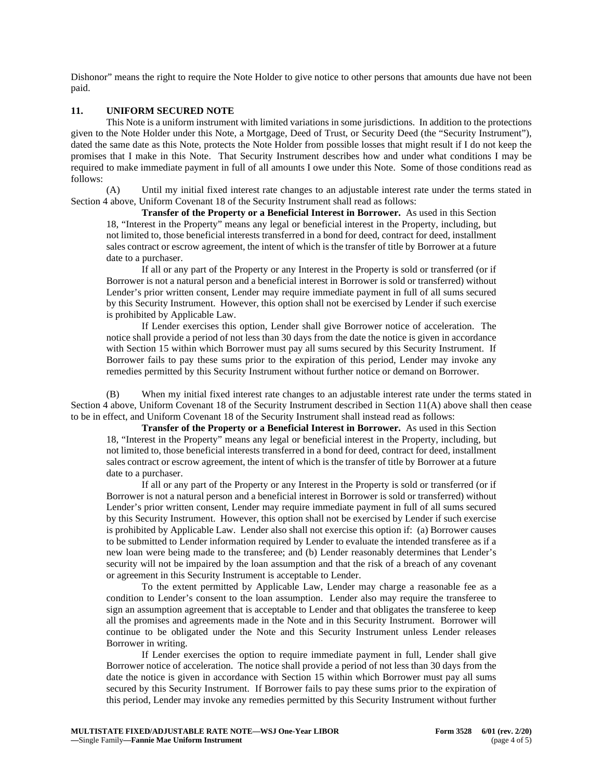Dishonor" means the right to require the Note Holder to give notice to other persons that amounts due have not been paid.

## **11. UNIFORM SECURED NOTE**

This Note is a uniform instrument with limited variations in some jurisdictions. In addition to the protections given to the Note Holder under this Note, a Mortgage, Deed of Trust, or Security Deed (the "Security Instrument"), dated the same date as this Note, protects the Note Holder from possible losses that might result if I do not keep the promises that I make in this Note. That Security Instrument describes how and under what conditions I may be required to make immediate payment in full of all amounts I owe under this Note. Some of those conditions read as follows:

(A) Until my initial fixed interest rate changes to an adjustable interest rate under the terms stated in Section 4 above, Uniform Covenant 18 of the Security Instrument shall read as follows:

**Transfer of the Property or a Beneficial Interest in Borrower.** As used in this Section 18, "Interest in the Property" means any legal or beneficial interest in the Property, including, but not limited to, those beneficial interests transferred in a bond for deed, contract for deed, installment sales contract or escrow agreement, the intent of which is the transfer of title by Borrower at a future date to a purchaser.

If all or any part of the Property or any Interest in the Property is sold or transferred (or if Borrower is not a natural person and a beneficial interest in Borrower is sold or transferred) without Lender's prior written consent, Lender may require immediate payment in full of all sums secured by this Security Instrument. However, this option shall not be exercised by Lender if such exercise is prohibited by Applicable Law.

If Lender exercises this option, Lender shall give Borrower notice of acceleration. The notice shall provide a period of not less than 30 days from the date the notice is given in accordance with Section 15 within which Borrower must pay all sums secured by this Security Instrument. If Borrower fails to pay these sums prior to the expiration of this period, Lender may invoke any remedies permitted by this Security Instrument without further notice or demand on Borrower.

(B) When my initial fixed interest rate changes to an adjustable interest rate under the terms stated in Section 4 above, Uniform Covenant 18 of the Security Instrument described in Section 11(A) above shall then cease to be in effect, and Uniform Covenant 18 of the Security Instrument shall instead read as follows:

**Transfer of the Property or a Beneficial Interest in Borrower.** As used in this Section 18, "Interest in the Property" means any legal or beneficial interest in the Property, including, but not limited to, those beneficial interests transferred in a bond for deed, contract for deed, installment sales contract or escrow agreement, the intent of which is the transfer of title by Borrower at a future date to a purchaser.

If all or any part of the Property or any Interest in the Property is sold or transferred (or if Borrower is not a natural person and a beneficial interest in Borrower is sold or transferred) without Lender's prior written consent, Lender may require immediate payment in full of all sums secured by this Security Instrument. However, this option shall not be exercised by Lender if such exercise is prohibited by Applicable Law. Lender also shall not exercise this option if: (a) Borrower causes to be submitted to Lender information required by Lender to evaluate the intended transferee as if a new loan were being made to the transferee; and (b) Lender reasonably determines that Lender's security will not be impaired by the loan assumption and that the risk of a breach of any covenant or agreement in this Security Instrument is acceptable to Lender.

To the extent permitted by Applicable Law, Lender may charge a reasonable fee as a condition to Lender's consent to the loan assumption. Lender also may require the transferee to sign an assumption agreement that is acceptable to Lender and that obligates the transferee to keep all the promises and agreements made in the Note and in this Security Instrument. Borrower will continue to be obligated under the Note and this Security Instrument unless Lender releases Borrower in writing.

If Lender exercises the option to require immediate payment in full, Lender shall give Borrower notice of acceleration. The notice shall provide a period of not less than 30 days from the date the notice is given in accordance with Section 15 within which Borrower must pay all sums secured by this Security Instrument. If Borrower fails to pay these sums prior to the expiration of this period, Lender may invoke any remedies permitted by this Security Instrument without further